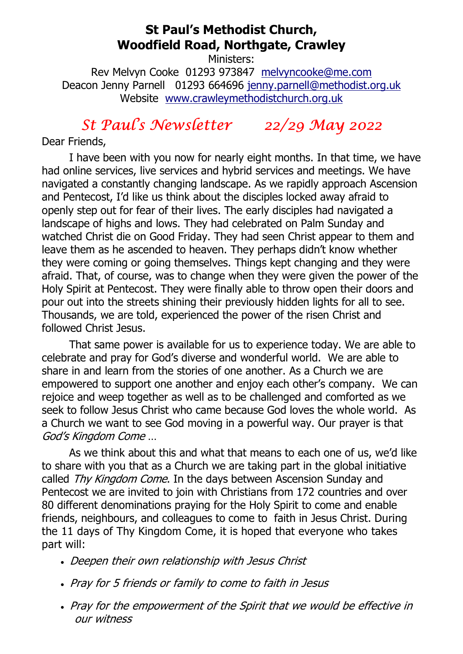# St Paul's Methodist Church, Woodfield Road, Northgate, Crawley

Ministers:

Rev Melvyn Cooke 01293 973847 melvyncooke@me.com Deacon Jenny Parnell 01293 664696 jenny.parnell@methodist.org.uk Website www.crawleymethodistchurch.org.uk

# St Paul's Newsletter 22/29 May 2022

Dear Friends,

 I have been with you now for nearly eight months. In that time, we have had online services, live services and hybrid services and meetings. We have navigated a constantly changing landscape. As we rapidly approach Ascension and Pentecost, I'd like us think about the disciples locked away afraid to openly step out for fear of their lives. The early disciples had navigated a landscape of highs and lows. They had celebrated on Palm Sunday and watched Christ die on Good Friday. They had seen Christ appear to them and leave them as he ascended to heaven. They perhaps didn't know whether they were coming or going themselves. Things kept changing and they were afraid. That, of course, was to change when they were given the power of the Holy Spirit at Pentecost. They were finally able to throw open their doors and pour out into the streets shining their previously hidden lights for all to see. Thousands, we are told, experienced the power of the risen Christ and followed Christ Jesus.

 That same power is available for us to experience today. We are able to celebrate and pray for God's diverse and wonderful world. We are able to share in and learn from the stories of one another. As a Church we are empowered to support one another and enjoy each other's company. We can rejoice and weep together as well as to be challenged and comforted as we seek to follow Jesus Christ who came because God loves the whole world. As a Church we want to see God moving in a powerful way. Our prayer is that God's Kingdom Come …

 As we think about this and what that means to each one of us, we'd like to share with you that as a Church we are taking part in the global initiative called Thy Kingdom Come. In the days between Ascension Sunday and Pentecost we are invited to join with Christians from 172 countries and over 80 different denominations praying for the Holy Spirit to come and enable friends, neighbours, and colleagues to come to faith in Jesus Christ. During the 11 days of Thy Kingdom Come, it is hoped that everyone who takes part will:

- Deepen their own relationship with Jesus Christ
- Pray for 5 friends or family to come to faith in Jesus
- Pray for the empowerment of the Spirit that we would be effective in our witness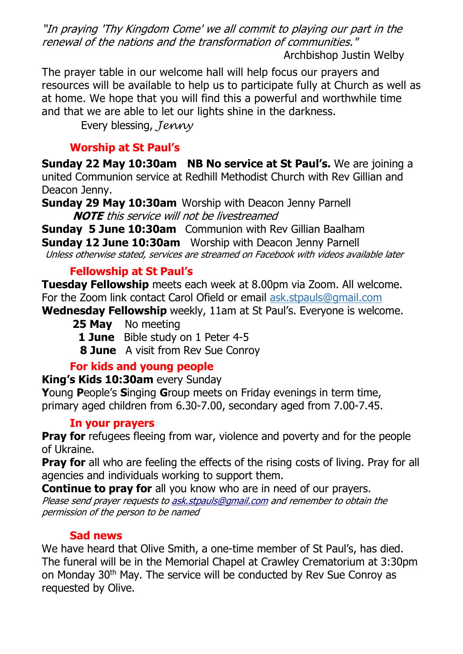"In praying 'Thy Kingdom Come' we all commit to playing our part in the renewal of the nations and the transformation of communities."

Archbishop Justin Welby

The prayer table in our welcome hall will help focus our prayers and resources will be available to help us to participate fully at Church as well as at home. We hope that you will find this a powerful and worthwhile time and that we are able to let our lights shine in the darkness.

Every blessing, Jenny

# Worship at St Paul's

Sunday 22 May 10:30am NB No service at St Paul's. We are joining a united Communion service at Redhill Methodist Church with Rev Gillian and Deacon Jenny.

Sunday 29 May 10:30am Worship with Deacon Jenny Parnell NOTE this service will not be livestreamed

Sunday 5 June 10:30am Communion with Rev Gillian Baalham

Sunday 12 June 10:30am Worship with Deacon Jenny Parnell

Unless otherwise stated, services are streamed on Facebook with videos available later

# Fellowship at St Paul's

Tuesday Fellowship meets each week at 8.00pm via Zoom. All welcome. For the Zoom link contact Carol Ofield or email ask.stpauls@gmail.com

Wednesday Fellowship weekly, 11am at St Paul's. Everyone is welcome.

25 May No meeting

- 1 June Bible study on 1 Peter 4-5
- **8 June** A visit from Rev Sue Conroy

# For kids and young people

#### King's Kids 10:30am every Sunday

Young People's Singing Group meets on Friday evenings in term time, primary aged children from 6.30-7.00, secondary aged from 7.00-7.45.

#### In your prayers

**Pray for** refugees fleeing from war, violence and poverty and for the people of Ukraine.

**Pray for** all who are feeling the effects of the rising costs of living. Pray for all agencies and individuals working to support them.

**Continue to pray for** all you know who are in need of our prayers. Please send prayer requests to ask.stpauls@gmail.com and remember to obtain the permission of the person to be named

#### Sad news

We have heard that Olive Smith, a one-time member of St Paul's, has died. The funeral will be in the Memorial Chapel at Crawley Crematorium at 3:30pm on Monday 30th May. The service will be conducted by Rev Sue Conroy as requested by Olive.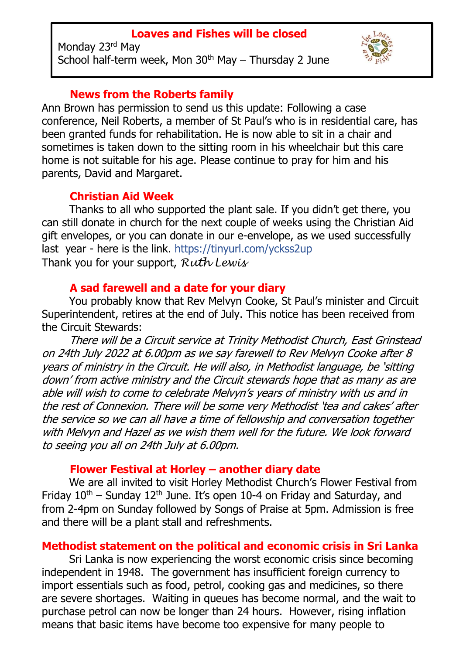#### Loaves and Fishes will be closed

Monday 23<sup>rd</sup> May School half-term week, Mon  $30<sup>th</sup>$  May – Thursday 2 June



#### News from the Roberts family

Ann Brown has permission to send us this update: Following a case conference, Neil Roberts, a member of St Paul's who is in residential care, has been granted funds for rehabilitation. He is now able to sit in a chair and sometimes is taken down to the sitting room in his wheelchair but this care home is not suitable for his age. Please continue to pray for him and his parents, David and Margaret.

### Christian Aid Week

 Thanks to all who supported the plant sale. If you didn't get there, you can still donate in church for the next couple of weeks using the Christian Aid gift envelopes, or you can donate in our e-envelope, as we used successfully last year - here is the link. https://tinyurl.com/yckss2up Thank you for your support,  $Ruth$  Lewis

#### A sad farewell and a date for your diary

 You probably know that Rev Melvyn Cooke, St Paul's minister and Circuit Superintendent, retires at the end of July. This notice has been received from the Circuit Stewards:

 There will be a Circuit service at Trinity Methodist Church, East Grinstead on 24th July 2022 at 6.00pm as we say farewell to Rev Melvyn Cooke after 8 years of ministry in the Circuit. He will also, in Methodist language, be 'sitting down' from active ministry and the Circuit stewards hope that as many as are able will wish to come to celebrate Melvyn's years of ministry with us and in the rest of Connexion. There will be some very Methodist 'tea and cakes' after the service so we can all have a time of fellowship and conversation together with Melvyn and Hazel as we wish them well for the future. We look forward to seeing you all on 24th July at 6.00pm.

#### Flower Festival at Horley – another diary date

 We are all invited to visit Horley Methodist Church's Flower Festival from Friday  $10^{th}$  – Sunday  $12^{th}$  June. It's open 10-4 on Friday and Saturday, and from 2-4pm on Sunday followed by Songs of Praise at 5pm. Admission is free and there will be a plant stall and refreshments.

#### Methodist statement on the political and economic crisis in Sri Lanka

 Sri Lanka is now experiencing the worst economic crisis since becoming independent in 1948. The government has insufficient foreign currency to import essentials such as food, petrol, cooking gas and medicines, so there are severe shortages. Waiting in queues has become normal, and the wait to purchase petrol can now be longer than 24 hours. However, rising inflation means that basic items have become too expensive for many people to